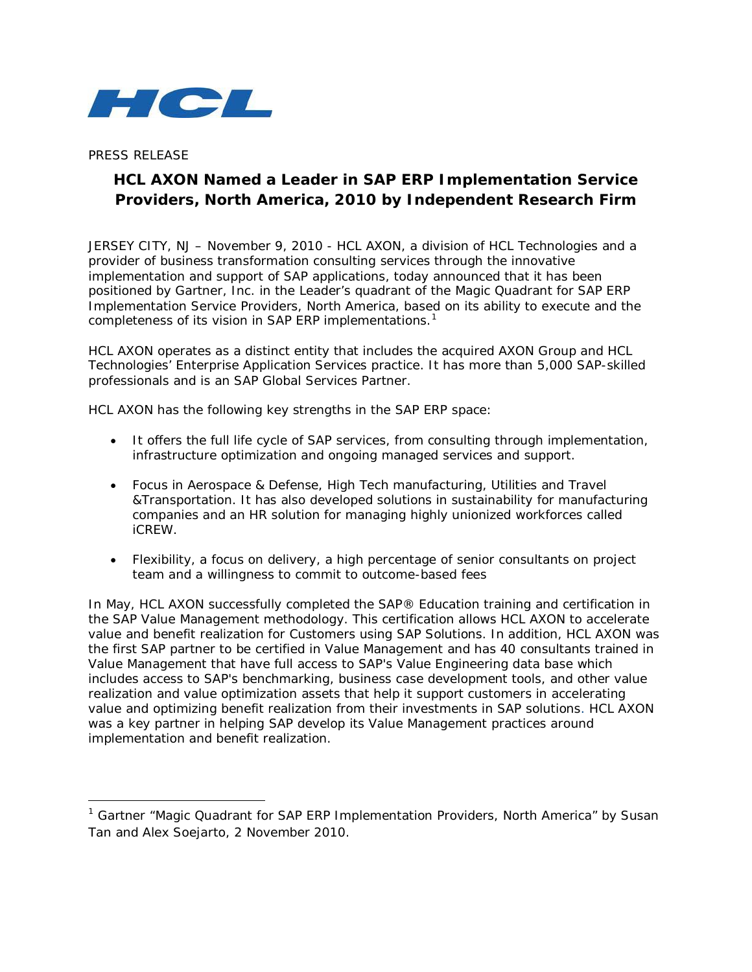

PRESS RELEASE

 $\overline{\phantom{a}}$ 

# **HCL AXON Named a Leader in SAP ERP Implementation Service Providers, North America, 2010 by Independent Research Firm**

JERSEY CITY, NJ – November 9, 2010 - HCL AXON, a division of HCL Technologies and a provider of business transformation consulting services through the innovative implementation and support of SAP applications, today announced that it has been positioned by Gartner, Inc. in the Leader's quadrant of the Magic Quadrant for SAP ERP Implementation Service Providers, North America, based on its ability to execute and the completeness of its vision in SAP ERP implementations.<sup>[1](#page-0-0)</sup>

HCL AXON operates as a distinct entity that includes the acquired AXON Group and HCL Technologies' Enterprise Application Services practice. It has more than 5,000 SAP-skilled professionals and is an SAP Global Services Partner.

HCL AXON has the following key strengths in the SAP ERP space:

- It offers the full life cycle of SAP services, from consulting through implementation, infrastructure optimization and ongoing managed services and support.
- Focus in Aerospace & Defense, High Tech manufacturing, Utilities and Travel &Transportation. It has also developed solutions in sustainability for manufacturing companies and an HR solution for managing highly unionized workforces called iCREW.
- Flexibility, a focus on delivery, a high percentage of senior consultants on project team and a willingness to commit to outcome-based fees

In May, HCL AXON successfully completed the SAP® Education training and certification in the SAP Value Management methodology. This certification allows HCL AXON to accelerate value and benefit realization for Customers using SAP Solutions. In addition, HCL AXON was the first SAP partner to be certified in Value Management and has 40 consultants trained in Value Management that have full access to SAP's Value Engineering data base which includes access to SAP's benchmarking, business case development tools, and other value realization and value optimization assets that help it support customers in accelerating value and optimizing benefit realization from their investments in SAP solutions. HCL AXON was a key partner in helping SAP develop its Value Management practices around implementation and benefit realization.

<span id="page-0-0"></span><sup>&</sup>lt;sup>1</sup> Gartner "Magic Quadrant for SAP ERP Implementation Providers, North America" by Susan Tan and Alex Soejarto, 2 November 2010.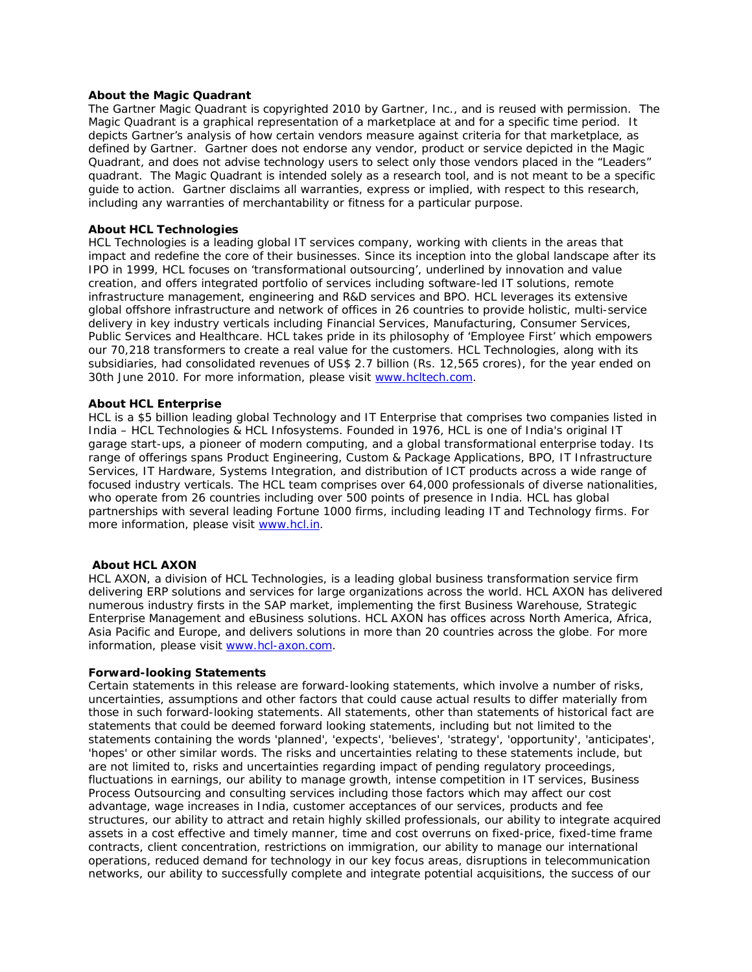## **About the Magic Quadrant**

The Gartner Magic Quadrant is copyrighted 2010 by Gartner, Inc., and is reused with permission. The Magic Quadrant is a graphical representation of a marketplace at and for a specific time period. It depicts Gartner's analysis of how certain vendors measure against criteria for that marketplace, as defined by Gartner. Gartner does not endorse any vendor, product or service depicted in the Magic Quadrant, and does not advise technology users to select only those vendors placed in the "Leaders" quadrant. The Magic Quadrant is intended solely as a research tool, and is not meant to be a specific guide to action. Gartner disclaims all warranties, express or implied, with respect to this research, including any warranties of merchantability or fitness for a particular purpose.

## **About HCL Technologies**

HCL Technologies is a leading global IT services company, working with clients in the areas that impact and redefine the core of their businesses. Since its inception into the global landscape after its IPO in 1999, HCL focuses on 'transformational outsourcing', underlined by innovation and value creation, and offers integrated portfolio of services including software-led IT solutions, remote infrastructure management, engineering and R&D services and BPO. HCL leverages its extensive global offshore infrastructure and network of offices in 26 countries to provide holistic, multi-service delivery in key industry verticals including Financial Services, Manufacturing, Consumer Services, Public Services and Healthcare. HCL takes pride in its philosophy of 'Employee First' which empowers our 70,218 transformers to create a real value for the customers. HCL Technologies, along with its subsidiaries, had consolidated revenues of US\$ 2.7 billion (Rs. 12,565 crores), for the year ended on 30th June 2010. For more information, please visit [www.hcltech.com.](https://hcltmail-chn.hcl.in/OWA/redir.aspx?C=c02daa5797ea4e648532a737d24e8453&URL=http%3a%2f%2fwww.hcltech.com)

## **About HCL Enterprise**

HCL is a \$5 billion leading global Technology and IT Enterprise that comprises two companies listed in India – HCL Technologies & HCL Infosystems. Founded in 1976, HCL is one of India's original IT garage start-ups, a pioneer of modern computing, and a global transformational enterprise today. Its range of offerings spans Product Engineering, Custom & Package Applications, BPO, IT Infrastructure Services, IT Hardware, Systems Integration, and distribution of ICT products across a wide range of focused industry verticals. The HCL team comprises over 64,000 professionals of diverse nationalities, who operate from 26 countries including over 500 points of presence in India. HCL has global partnerships with several leading Fortune 1000 firms, including leading IT and Technology firms. For more information, please visit [www.hcl.in.](https://hcltmail-chn.hcl.in/OWA/redir.aspx?C=c02daa5797ea4e648532a737d24e8453&URL=http%3a%2f%2fwww.hcl.in)

### **About HCL AXON**

HCL AXON, a division of HCL Technologies, is a leading global business transformation service firm delivering ERP solutions and services for large organizations across the world. HCL AXON has delivered numerous industry firsts in the SAP market, implementing the first Business Warehouse, Strategic Enterprise Management and eBusiness solutions. HCL AXON has offices across North America, Africa, Asia Pacific and Europe, and delivers solutions in more than 20 countries across the globe. For more information, please visit [www.hcl-axon.com.](http://www.hcl-axon.com/)

### **Forward-looking Statements**

Certain statements in this release are forward-looking statements, which involve a number of risks, uncertainties, assumptions and other factors that could cause actual results to differ materially from those in such forward-looking statements. All statements, other than statements of historical fact are statements that could be deemed forward looking statements, including but not limited to the statements containing the words 'planned', 'expects', 'believes', 'strategy', 'opportunity', 'anticipates', 'hopes' or other similar words. The risks and uncertainties relating to these statements include, but are not limited to, risks and uncertainties regarding impact of pending regulatory proceedings, fluctuations in earnings, our ability to manage growth, intense competition in IT services, Business Process Outsourcing and consulting services including those factors which may affect our cost advantage, wage increases in India, customer acceptances of our services, products and fee structures, our ability to attract and retain highly skilled professionals, our ability to integrate acquired assets in a cost effective and timely manner, time and cost overruns on fixed-price, fixed-time frame contracts, client concentration, restrictions on immigration, our ability to manage our international operations, reduced demand for technology in our key focus areas, disruptions in telecommunication networks, our ability to successfully complete and integrate potential acquisitions, the success of our